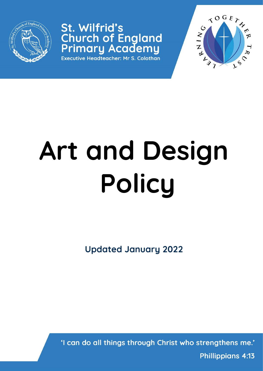

# St. Wilfrid's **Church of England<br>Primary Academy**

Executive Headteacher: Mr S. Colothan



# **Art and Design Policy**

**Updated January 2022**

'I can do all things through Christ who strengthens me.'

**Phillippians 4:13**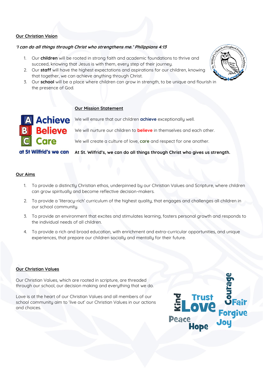# **Our Christian Vision**

# **'I can do all things through Christ who strengthens me.' Philippians 4:13**

**Our Mission Statement**

- 1. Our **children** will be rooted in strong faith and academic foundations to thrive and succeed, knowing that Jesus is with them, every step of their journey.
- 2. Our **staff** will have the highest expectations and aspirations for our children, knowing that together, we can achieve anything through Christ.
- 3. Our **school** will be a place where children can grow in strength, to be unique and flourish in the presence of God.



# **Believe** Care

Achieve We will ensure that our children achieve exceptionally well.

We will nurture our children to **believe** in themselves and each other.

We will create a culture of love, **care** and respect for one another.

at St Wilfrid's we can **At St. Wilfrid's, we can do all things through Christ who gives us strength.** 

# **Our Aims**

- 1. To provide a distinctly Christian ethos, underpinned by our Christian Values and Scripture, where children can grow spiritually and become reflective decision-makers.
- 2. To provide a 'literacy-rich' curriculum of the highest quality, that engages and challenges all children in our school community.
- 3. To provide an environment that excites and stimulates learning, fosters personal growth and responds to the individual needs of all children.
- 4. To provide a rich and broad education, with enrichment and extra-curricular opportunities, and unique experiences, that prepare our children socially and mentally for their future.

#### **Our Christian Values**

Our Christian Values, which are rooted in scripture, are threaded through our school, our decision making and everything that we do.

Love is at the heart of our Christian Values and all members of our school community aim to 'live out' our Christian Values in our actions and choices.

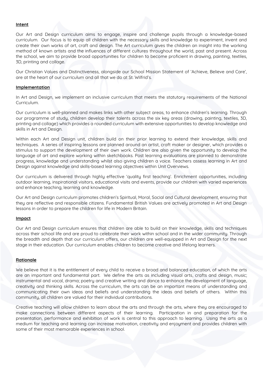#### **Intent**

Our Art and Design curriculum aims to engage, inspire and challenge pupils through a knowledge-based curriculum. Our focus is to equip all children with the necessary skills and knowledge to experiment, invent and create their own works of art, craft and design. The Art curriculum gives the children an insight into the working method of known artists and the influences of different cultures throughout the world, past and present. Across the school, we aim to provide broad opportunities for children to become proficient in drawing, painting, textiles, 3D, printing and collage.

Our Christian Values and Distinctiveness, alongside our School Mission Statement of 'Achieve, Believe and Care', are at the heart of our curriculum and all that we do at St. Wilfrid's.

#### **Implementation**

In Art and Design, we implement an inclusive curriculum that meets the statutory requirements of the National Curriculum.

Our curriculum is well-planned and makes links with other subject areas, to enhance children's learning. Through our programme of study, children develop their talents across the six key areas (drawing, painting, textiles, 3D, printing and collage) which provides a rounded curriculum with extensive opportunities to develop knowledge and skills in Art and Design.

Within each Art and Design unit, children build on their prior learning to extend their knowledge, skills and techniques. A series of inspiring lessons are planned around an artist, craft maker or designer, which provides a stimulus to support the development of their own work. Children are also given the opportunity to develop the language of art and explore working within sketchbooks. Post learning evaluations are planned to demonstrate progress, knowledge and understanding whilst also giving children a voice. Teachers assess learning in Art and Design against knowledge and skills-based learning objectives within Unit Overviews.

Our curriculum is delivered through highly effective 'quality first teaching'. Enrichment opportunities, including outdoor learning, inspirational visitors, educational visits and events, provide our children with varied experiences and enhance teaching, learning and knowledge.

Our Art and Design curriculum promotes children's Spiritual, Moral, Social and Cultural development, ensuring that they are reflective and responsible citizens. Fundamental British Values are actively promoted in Art and Design lessons in order to prepare the children for life in Modern Britain.

#### **Impact**

Our Art and Design curriculum ensures that children are able to build on their knowledge, skills and techniques across their school life and are proud to celebrate their work within school and in the wider community. Through the breadth and depth that our curriculum offers, our children are well-equipped in Art and Design for the next stage in their education. Our curriculum enables children to become creative and lifelong learners.

#### **Rationale**

We believe that it is the entitlement of every child to receive a broad and balanced education, of which the arts are an important and fundamental part. We define the arts as including visual arts, crafts and design, music; instrumental and vocal, drama; poetry and creative writing and dance to enhance the development of language, creativity and thinking skills. Across the curriculum, the arts can be an important means of understanding and communicating their own ideas and beliefs and understanding the ideas and beliefs of others. Within this community, all children are valued for their individual contributions.

Creative teaching will allow children to learn about the arts and through the arts, where they are encouraged to make connections between different aspects of their learning. Participation in and preparation for the presentation, performance and exhibition of work is central to this approach to learning. Using the arts as a medium for teaching and learning can increase motivation, creativity and enjoyment and provides children with some of their most memorable experiences in school.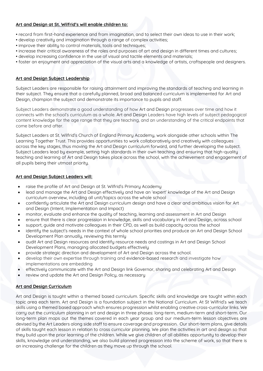# **Art and Design at St. Wilfrid's will enable children to:**

- record from first-hand experience and from imagination, and to select their own ideas to use in their work;
- develop creativity and imagination through a range of complex activities;
- improve their ability to control materials, tools and techniques;
- increase their critical awareness of the roles and purposes of art and design in different times and cultures;
- develop increasing confidence in the use of visual and tactile elements and materials;
- foster an enjoyment and appreciation of the visual arts and a knowledge of artists, craftspeople and designers.

# **Art and Design Subject Leadership**

Subject Leaders are responsible for raising attainment and improving the standards of teaching and learning in their subject. They ensure that a carefully planned, broad and balanced curriculum is implemented for Art and Design, champion the subject and demonstrate its importance to pupils and staff.

Subject Leaders demonstrate a good understanding of how Art and Design progresses over time and how it connects with the school's curriculum as a whole. Art and Design Leaders have high levels of subject pedagogical content knowledge for the age range that they are teaching, and an understanding of the critical endpoints that come before and after.

Subject Leaders at St. Wilfrid's Church of England Primary Academy, work alongside other schools within The Learning Together Trust. This provides opportunities to work collaboratively and creatively with colleagues across the key stages, thus moving the Art and Design curriculum forward, and further developing the subject. Subject Leaders lead by example, setting high standards in their own teaching and ensuring that high-quality teaching and learning of Art and Design takes place across the school, with the achievement and engagement of all pupils being their utmost priority.

# **Art and Design Subject Leaders will:**

- raise the profile of Art and Design at St. Wilfrid's Primary Academy
- lead and manage the Art and Design effectively and have an 'expert' knowledge of the Art and Design curriculum overview, including all unit/topics across the whole school
- confidently articulate the Art and Design curriculum design and have a clear and ambitious vision for Art and Design (Intent, Implementation and Impact)
- monitor, evaluate and enhance the quality of teaching, learning and assessment in Art and Design
- ensure that there is clear progression in knowledge, skills and vocabulary in Art and Design, across school
- support, guide and motivate colleagues in their CPD, as well as build capacity across the school
- identify the subject's needs in the context of whole school priorities and produce an Art and Design School Development Plan annually, reviewing this termly
- audit Art and Design resources and identify resource needs and costings in Art and Design School Development Plans, managing allocated budgets effectively
- provide strategic direction and development of Art and Design across the school.
- develop their own expertise through training and evidence-based research and investigate how implementations are embedding
- effectively communicate with the Art and Design link Governor, sharing and celebrating Art and Design
- review and update the Art and Design Policy, as necessary

# **Art and Design Curriculum**

Art and Design is taught within a themed based curriculum. Specific skills and knowledge are taught within each topic area each term. Art and Design is a foundation subject in the National Curriculum. At St Wilfrid's we teach skills using a themed based approach which ensures progression whilst enabling creative cross-curricular links. We carry out the curriculum planning in art and design in three phases: long-term, medium-term and short-term. Our long-term plan maps out the themes covered in each year group and our medium-term lesson objectives are devised by the Art Leaders along side staff to ensure coverage and progression. Our short-term plans, give details of skills taught each lesson in relation to cross curricular planning. We plan the activities in art and design so that they build upon the prior learning of the children. While we give children of all abilities opportunity to develop their skills, knowledge and understanding, we also build planned progression into the scheme of work, so that there is an increasing challenge for the children as they move up through the school.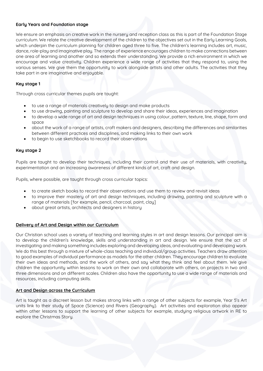# **Early Years and Foundation stage**

We ensure an emphasis on creative work in the nursery and reception class as this is part of the Foundation Stage curriculum. We relate the creative development of the children to the objectives set out in the Early Learning Goals, which underpin the curriculum planning for children aged three to five. The children's learning includes art, music, dance, role-play and imaginative play. The range of experience encourages children to make connections between one area of learning and another and so extends their understanding. We provide a rich environment in which we encourage and value creativity. Children experience a wide range of activities that they respond to, using the various senses. We give them the opportunity to work alongside artists and other adults. The activities that they take part in are imaginative and enjoyable.

### **Key stage 1**

Through cross curricular themes pupils are taught:

- to use a range of materials creatively to design and make products
- to use drawing, painting and sculpture to develop and share their ideas, experiences and imagination
- to develop a wide range of art and design techniques in using colour, pattern, texture, line, shape, form and space
- about the work of a range of artists, craft makers and designers, describing the differences and similarities between different practices and disciplines, and making links to their own work
- to begin to use sketchbooks to record their observations

# **Key stage 2**

Pupils are taught to develop their techniques, including their control and their use of materials, with creativity, experimentation and an increasing awareness of different kinds of art, craft and design.

Pupils, where possible, are taught through cross curricular topics:

- to create sketch books to record their observations and use them to review and revisit ideas
- to improve their mastery of art and design techniques, including drawing, painting and sculpture with a range of materials [for example, pencil, charcoal, paint, clay]
- about great artists, architects and designers in history

#### **Delivery of Art and Design within our Curriculum**

Our Christian school uses a variety of teaching and learning styles in art and design lessons. Our principal aim is to develop the children's knowledge, skills and understanding in art and design. We ensure that the act of investigating and making something includes exploring and developing ideas, and evaluating and developing work. We do this best through a mixture of whole-class teaching and individual/group activities. Teachers draw attention to good examples of individual performance as models for the other children. They encourage children to evaluate their own ideas and methods, and the work of others, and say what they think and feel about them. We give children the opportunity within lessons to work on their own and collaborate with others, on projects in two and three dimensions and on different scales. Children also have the opportunity to use a wide range of materials and resources, including computing skills.

#### **Art and Design across the Curriculum**

Art is taught as a discreet lesson but makes strong links with a range of other subjects for example, Year 5's Art units link to their study of Space (Science) and Rivers (Geography). Art activities and exploration also appear within other lessons to support the learning of other subjects for example, studying religious artwork in RE to explore the Christmas Story.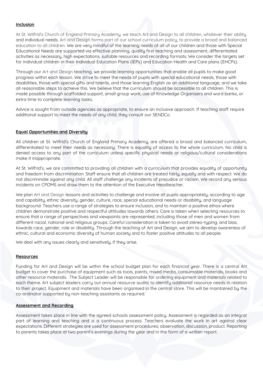# **Inclusion**

At St. Wilfrid's Church of England Primary Academy, we teach Art and Design to all children, whatever their ability and individual needs. Art and Design forms part of our school curriculum policy, to provide a broad and balanced education to all children. We are very mindful of the learning needs of all of our children and those with Special Educational Needs are supported via effective planning, quality first teaching and assessment, differentiated activities as necessary, high expectations, suitable resources and recording formats. We consider the targets set for individual children in their Individual Education Plans (IEPs) and Education Health and Care plans (EHCPs).

Through our Art and Design teaching, we provide learning opportunities that enable all pupils to make good progress within each lesson. We strive to meet the needs of pupils with special educational needs, those with disabilities, those with special gifts and talents, and those learning English as an additional language, and we take all reasonable steps to achieve this. We believe that the curriculum should be accessible to all children. This is made possible through scaffolded support, small group work, use of Knowledge Organisers and word banks, or extra time to complete learning tasks.

Advice is sought from outside agencies as appropriate, to ensure an inclusive approach. If teaching staff require additional support to meet the needs of any child, they consult our SENDCo.

#### **Equal Opportunities and Diversity**

All children at St. Wilfrid's Church of England Primary Academy, are offered a broad and balanced curriculum, differentiated to meet their needs as necessary. There is equality of access to the whole curriculum. No child is denied access to any part of the curriculum unless specific physical needs or religious/cultural considerations make it inappropriate.

At St. Wilfrid's, we are committed to providing all children with a curriculum that provides equality of opportunity and freedom from discrimination. Staff ensure that all children are treated fairly, equally and with respect. We do not discriminate against any child. All staff challenge any incidents of prejudice or racism. We record any serious incidents on CPOMS and draw them to the attention of the Executive Headteacher.

We plan Art and Design lessons and activities to challenge and involve all pupils appropriately, according to age and capability, ethnic diversity, gender, culture, race, special educational needs or disability, and language background. Teachers use a range of strategies to ensure inclusion, and to maintain a positive ethos where children demonstrate positive and respectful attitudes towards others. Care is taken when selecting resources to ensure that a range of perspectives and viewpoints are represented, including those of men and women from different racial, national and religious groups. Careful consideration is taken to avoid stereo-typing, and bias, towards race, gender, role or disability. Through the teaching of Art and Design, we aim to develop awareness of ethnic, cultural and economic diversity of human society and to foster positive attitudes to all people.

We deal with any issues clearly and sensitively, if they arise.

#### **Resources**

Funding for Art and Design will be within the school budget plan for each financial year. There is a central Art budget to cover the purchase of equipment such as tools, paints, mixed media, consumable materials, books and other resource materials. The Subject Leader will be responsible for ordering equipment and materials related to each theme. Art subject leaders carry out annual resource audits to identify additional resource needs in relation to their project. Equipment and materials have been organised in the central store. This will be maintained by the co-ordinator supported by non-teaching assistants as required.

#### **Assessment and Recording**

Assessment takes place in line with the agreed schools assessment policy. Assessment is regarded as an integral part of learning and teaching and is a continuous process. Teachers evaluate the work in art against clear expectations. Different strategies are used for assessment procedures; observation, discussion, product. Reporting to parents takes place at two parent's evenings during the year and in the form of a written report.